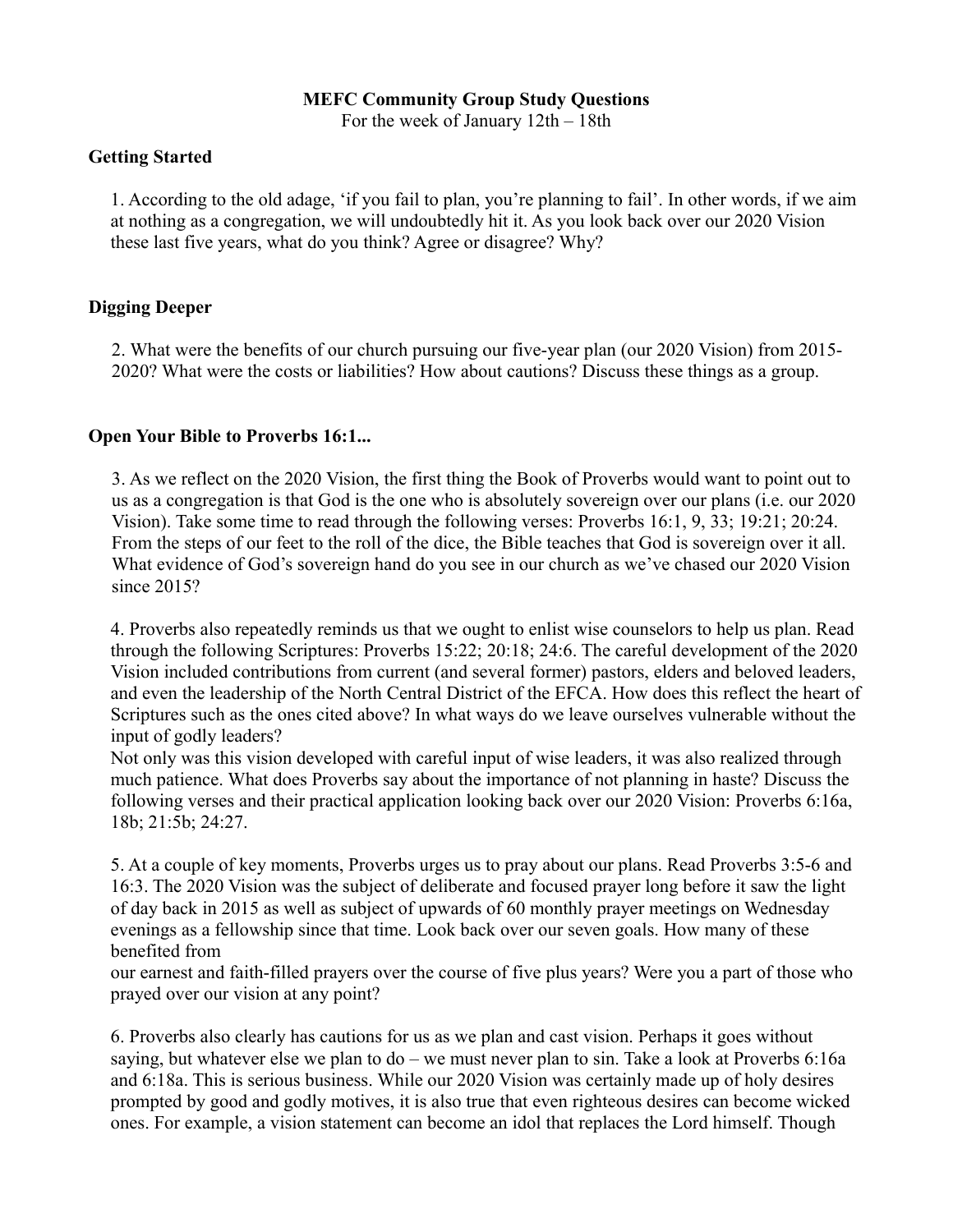#### **MEFC Community Group Study Questions**

For the week of January 12th – 18th

#### **Getting Started**

1. According to the old adage, 'if you fail to plan, you're planning to fail'. In other words, if we aim at nothing as a congregation, we will undoubtedly hit it. As you look back over our 2020 Vision these last five years, what do you think? Agree or disagree? Why?

# **Digging Deeper**

2. What were the benefits of our church pursuing our five-year plan (our 2020 Vision) from 2015- 2020? What were the costs or liabilities? How about cautions? Discuss these things as a group.

# **Open Your Bible to Proverbs 16:1...**

3. As we reflect on the 2020 Vision, the first thing the Book of Proverbs would want to point out to us as a congregation is that God is the one who is absolutely sovereign over our plans (i.e. our 2020 Vision). Take some time to read through the following verses: Proverbs 16:1, 9, 33; 19:21; 20:24. From the steps of our feet to the roll of the dice, the Bible teaches that God is sovereign over it all. What evidence of God's sovereign hand do you see in our church as we've chased our 2020 Vision since 2015?

4. Proverbs also repeatedly reminds us that we ought to enlist wise counselors to help us plan. Read through the following Scriptures: Proverbs 15:22; 20:18; 24:6. The careful development of the 2020 Vision included contributions from current (and several former) pastors, elders and beloved leaders, and even the leadership of the North Central District of the EFCA. How does this reflect the heart of Scriptures such as the ones cited above? In what ways do we leave ourselves vulnerable without the input of godly leaders?

Not only was this vision developed with careful input of wise leaders, it was also realized through much patience. What does Proverbs say about the importance of not planning in haste? Discuss the following verses and their practical application looking back over our 2020 Vision: Proverbs 6:16a, 18b; 21:5b; 24:27.

5. At a couple of key moments, Proverbs urges us to pray about our plans. Read Proverbs 3:5-6 and 16:3. The 2020 Vision was the subject of deliberate and focused prayer long before it saw the light of day back in 2015 as well as subject of upwards of 60 monthly prayer meetings on Wednesday evenings as a fellowship since that time. Look back over our seven goals. How many of these benefited from

our earnest and faith-filled prayers over the course of five plus years? Were you a part of those who prayed over our vision at any point?

6. Proverbs also clearly has cautions for us as we plan and cast vision. Perhaps it goes without saying, but whatever else we plan to do – we must never plan to sin. Take a look at Proverbs 6:16a and 6:18a. This is serious business. While our 2020 Vision was certainly made up of holy desires prompted by good and godly motives, it is also true that even righteous desires can become wicked ones. For example, a vision statement can become an idol that replaces the Lord himself. Though